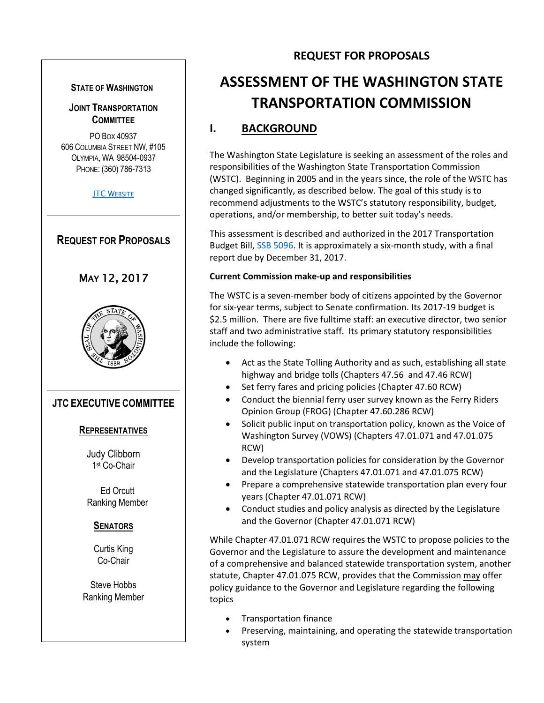#### **STATE OF WASHINGTON**

#### **JOINT TRANSPORTATION COMMITTEE**

PO BOX 40937 606 COLUMBIA STREET NW, #105 OLYMPIA, WA 98504-0937 PHONE: (360) 786-7313

**JTC W[EBSITE](http://www.leg.wa.gov/JTC/)** 

# **REQUEST FOR PROPOSALS**

# MAY 12, 2017



#### **JTC EXECUTIVE COMMITTEE**

#### **REPRESENTATIVES**

Judy Clibborn 1 st Co-Chair

Ed Orcutt Ranking Member

#### **SENATORS**

Curtis King Co-Chair

Steve Hobbs Ranking Member

### **REQUEST FOR PROPOSALS**

# **ASSESSMENT OF THE WASHINGTON STATE TRANSPORTATION COMMISSION**

# **I. BACKGROUND**

The Washington State Legislature is seeking an assessment of the roles and responsibilities of the Washington State Transportation Commission (WSTC). Beginning in 2005 and in the years since, the role of the WSTC has changed significantly, as described below. The goal of this study is to recommend adjustments to the WSTC's statutory responsibility, budget, operations, and/or membership, to better suit today's needs.

This assessment is described and authorized in the 2017 Transportation Budget Bill, [SSB 5096.](http://leap.leg.wa.gov/leap/Budget/Detail/2017/ctbillaspassed_0421.pdf) It is approximately a six-month study, with a final report due by December 31, 2017.

#### **Current Commission make-up and responsibilities**

The WSTC is a seven-member body of citizens appointed by the Governor for six-year terms, subject to Senate confirmation. Its 2017-19 budget is \$2.5 million. There are five fulltime staff: an executive director, two senior staff and two administrative staff. Its primary statutory responsibilities include the following:

- Act as the State Tolling Authority and as such, establishing all state highway and bridge tolls (Chapters 47.56 and 47.46 RCW)
- Set ferry fares and pricing policies (Chapter 47.60 RCW)
- Conduct the biennial ferry user survey known as the Ferry Riders Opinion Group (FROG) (Chapter 47.60.286 RCW)
- Solicit public input on transportation policy, known as the Voice of Washington Survey (VOWS) (Chapters 47.01.071 and 47.01.075 RCW)
- Develop transportation policies for consideration by the Governor and the Legislature (Chapters 47.01.071 and 47.01.075 RCW)
- Prepare a comprehensive statewide transportation plan every four years (Chapter 47.01.071 RCW)
- Conduct studies and policy analysis as directed by the Legislature and the Governor (Chapter 47.01.071 RCW)

While Chapter 47.01.071 RCW requires the WSTC to propose policies to the Governor and the Legislature to assure the development and maintenance of a comprehensive and balanced statewide transportation system, another statute, Chapter 47.01.075 RCW, provides that the Commission may offer policy guidance to the Governor and Legislature regarding the following topics

- Transportation finance
- Preserving, maintaining, and operating the statewide transportation system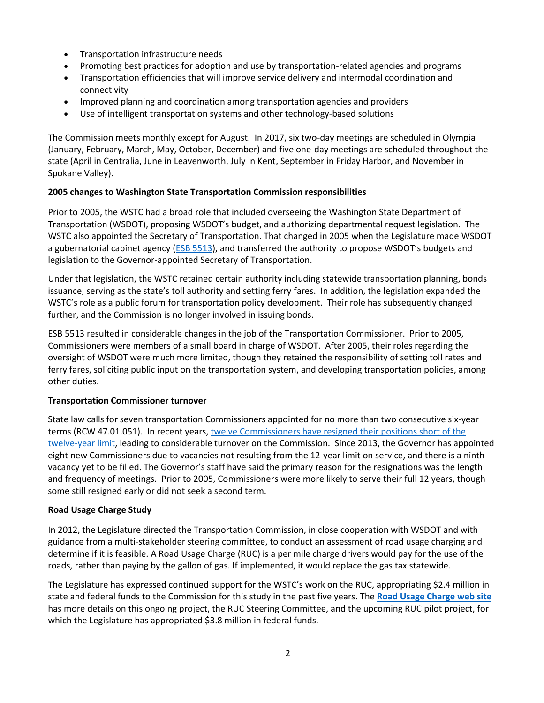- Transportation infrastructure needs
- Promoting best practices for adoption and use by transportation-related agencies and programs
- Transportation efficiencies that will improve service delivery and intermodal coordination and connectivity
- Improved planning and coordination among transportation agencies and providers
- Use of intelligent transportation systems and other technology-based solutions

The Commission meets monthly except for August. In 2017, six two-day meetings are scheduled in Olympia (January, February, March, May, October, December) and five one-day meetings are scheduled throughout the state (April in Centralia, June in Leavenworth, July in Kent, September in Friday Harbor, and November in Spokane Valley).

#### **2005 changes to Washington State Transportation Commission responsibilities**

Prior to 2005, the WSTC had a broad role that included overseeing the Washington State Department of Transportation (WSDOT), proposing WSDOT's budget, and authorizing departmental request legislation. The WSTC also appointed the Secretary of Transportation. That changed in 2005 when the Legislature made WSDOT a gubernatorial cabinet agency [\(ESB 5513\)](http://lawfiles/biennium/2005-06/Pdf/Bills/Senate%20Passed%20Legislature/5513.PL.pdf), and transferred the authority to propose WSDOT's budgets and legislation to the Governor-appointed Secretary of Transportation.

Under that legislation, the WSTC retained certain authority including statewide transportation planning, bonds issuance, serving as the state's toll authority and setting ferry fares. In addition, the legislation expanded the WSTC's role as a public forum for transportation policy development. Their role has subsequently changed further, and the Commission is no longer involved in issuing bonds.

ESB 5513 resulted in considerable changes in the job of the Transportation Commissioner. Prior to 2005, Commissioners were members of a small board in charge of WSDOT. After 2005, their roles regarding the oversight of WSDOT were much more limited, though they retained the responsibility of setting toll rates and ferry fares, soliciting public input on the transportation system, and developing transportation policies, among other duties.

#### **Transportation Commissioner turnover**

State law calls for seven transportation Commissioners appointed for no more than two consecutive six-year terms (RCW 47.01.051). In recent years, twelve [Commissioners have resigned their](http://leg.wa.gov/JTC/Documents/Studies/CommissionStudy/CommissionerTerms.pdf) positions short of the [twelve-year limit,](http://leg.wa.gov/JTC/Documents/Studies/CommissionStudy/CommissionerTerms.pdf) leading to considerable turnover on the Commission. Since 2013, the Governor has appointed eight new Commissioners due to vacancies not resulting from the 12-year limit on service, and there is a ninth vacancy yet to be filled. The Governor's staff have said the primary reason for the resignations was the length and frequency of meetings. Prior to 2005, Commissioners were more likely to serve their full 12 years, though some still resigned early or did not seek a second term.

#### **Road Usage Charge Study**

In 2012, the Legislature directed the Transportation Commission, in close cooperation with WSDOT and with guidance from a multi-stakeholder steering committee, to conduct an assessment of road usage charging and determine if it is feasible. A Road Usage Charge (RUC) is a per mile charge drivers would pay for the use of the roads, rather than paying by the gallon of gas. If implemented, it would replace the gas tax statewide.

The Legislature has expressed continued support for the WSTC's work on the RUC, appropriating \$2.4 million in state and federal funds to the Commission for this study in the past five years. The **[Road Usage Charge web](https://waroadusagecharge.org/) site** has more details on this ongoing project, the RUC Steering Committee, and the upcoming RUC pilot project, for which the Legislature has appropriated \$3.8 million in federal funds.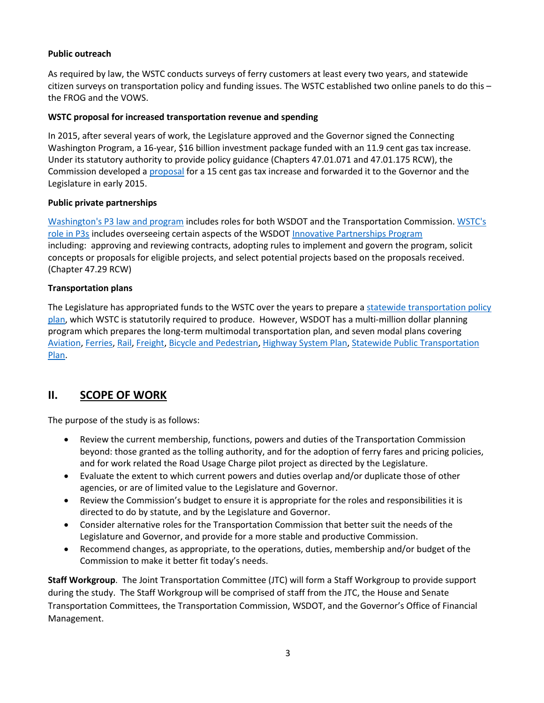#### **Public outreach**

As required by law, the WSTC conducts surveys of ferry customers at least every two years, and statewide citizen surveys on transportation policy and funding issues. The WSTC established two online panels to do this – the FROG and the VOWS.

#### **WSTC proposal for increased transportation revenue and spending**

In 2015, after several years of work, the Legislature approved and the Governor signed the Connecting Washington Program, a 16-year, \$16 billion investment package funded with an 11.9 cent gas tax increase. Under its statutory authority to provide policy guidance (Chapters 47.01.071 and 47.01.175 RCW), the Commission developed a [proposal](http://wstc.wa.gov/CommissionLibrary/documents/2014_AnnualReport2014.pdf) for a 15 cent gas tax increase and forwarded it to the Governor and the Legislature in early 2015.

#### **Public private partnerships**

[Washington's P3 law and program](http://leg.wa.gov/JTC/trm/Documents/TRM%202017%20Update/12%20-%20Public%20Private%20Partnerships%20-%20%20Final.pdf) includes roles for both WSDOT and the Transportation Commission. [WSTC's](http://wstc.wa.gov/StudiesSurveys/Non-TollingPublicPrivatePartnerships.htm)  [role in P3s](http://wstc.wa.gov/StudiesSurveys/Non-TollingPublicPrivatePartnerships.htm) includes overseeing certain aspects of the WSDOT [Innovative Partnerships Program](http://www.wsdot.wa.gov/Funding/Partners/Default.htm) including: approving and reviewing contracts, adopting rules to implement and govern the program, solicit concepts or proposals for eligible projects, and select potential projects based on the proposals received. (Chapter 47.29 RCW)

#### **Transportation plans**

The Legislature has appropriated funds to the WSTC over the years to prepare a [statewide transportation policy](http://leg.wa.gov/JTC/trm/Documents/TRM%202017%20Update/23%20-%20State%20Plans%20-%20Final.pdf)  [plan,](http://leg.wa.gov/JTC/trm/Documents/TRM%202017%20Update/23%20-%20State%20Plans%20-%20Final.pdf) which WSTC is statutorily required to produce. However, WSDOT has a multi-million dollar planning program which prepares the long-term multimodal transportation plan, and seven modal plans covering [Aviation,](http://wsdot.wa.gov/aviation/SystemPlan/default.htm) [Ferries,](http://wsdot.wa.gov/Ferries/Planning/ESHB2358.htm) [Rail,](http://wsdot.wa.gov/Rail/staterailplan.htm) [Freight,](http://wsdot.wa.gov/Freight/freightmobilityplan.htm) [Bicycle and Pedestrian,](http://wsdot.wa.gov/bike/bike_plan.htm) [Highway System Plan,](http://wsdot.wa.gov/planning/hsp.htm) [Statewide Public Transportation](http://wsdot.wa.gov/Transit/TransportationPlan/default.htm)  [Plan.](http://wsdot.wa.gov/Transit/TransportationPlan/default.htm)

### **II. SCOPE OF WORK**

The purpose of the study is as follows:

- Review the current membership, functions, powers and duties of the Transportation Commission beyond: those granted as the tolling authority, and for the adoption of ferry fares and pricing policies, and for work related the Road Usage Charge pilot project as directed by the Legislature.
- Evaluate the extent to which current powers and duties overlap and/or duplicate those of other agencies, or are of limited value to the Legislature and Governor.
- Review the Commission's budget to ensure it is appropriate for the roles and responsibilities it is directed to do by statute, and by the Legislature and Governor.
- Consider alternative roles for the Transportation Commission that better suit the needs of the Legislature and Governor, and provide for a more stable and productive Commission.
- Recommend changes, as appropriate, to the operations, duties, membership and/or budget of the Commission to make it better fit today's needs.

**Staff Workgroup**. The Joint Transportation Committee (JTC) will form a Staff Workgroup to provide support during the study. The Staff Workgroup will be comprised of staff from the JTC, the House and Senate Transportation Committees, the Transportation Commission, WSDOT, and the Governor's Office of Financial Management.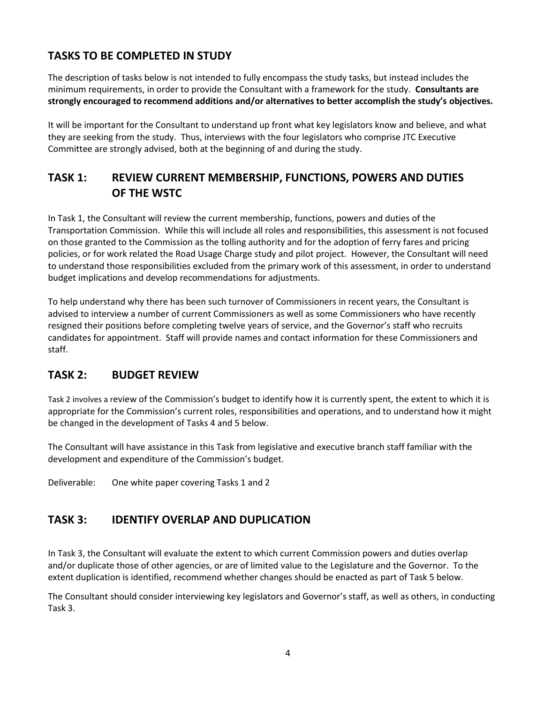# **TASKS TO BE COMPLETED IN STUDY**

The description of tasks below is not intended to fully encompass the study tasks, but instead includes the minimum requirements, in order to provide the Consultant with a framework for the study. **Consultants are strongly encouraged to recommend additions and/or alternatives to better accomplish the study's objectives.**

It will be important for the Consultant to understand up front what key legislators know and believe, and what they are seeking from the study. Thus, interviews with the four legislators who comprise JTC Executive Committee are strongly advised, both at the beginning of and during the study.

# **TASK 1: REVIEW CURRENT MEMBERSHIP, FUNCTIONS, POWERS AND DUTIES OF THE WSTC**

In Task 1, the Consultant will review the current membership, functions, powers and duties of the Transportation Commission. While this will include all roles and responsibilities, this assessment is not focused on those granted to the Commission as the tolling authority and for the adoption of ferry fares and pricing policies, or for work related the Road Usage Charge study and pilot project. However, the Consultant will need to understand those responsibilities excluded from the primary work of this assessment, in order to understand budget implications and develop recommendations for adjustments.

To help understand why there has been such turnover of Commissioners in recent years, the Consultant is advised to interview a number of current Commissioners as well as some Commissioners who have recently resigned their positions before completing twelve years of service, and the Governor's staff who recruits candidates for appointment. Staff will provide names and contact information for these Commissioners and staff.

# **TASK 2: BUDGET REVIEW**

Task 2 involves a review of the Commission's budget to identify how it is currently spent, the extent to which it is appropriate for the Commission's current roles, responsibilities and operations, and to understand how it might be changed in the development of Tasks 4 and 5 below.

The Consultant will have assistance in this Task from legislative and executive branch staff familiar with the development and expenditure of the Commission's budget.

Deliverable: One white paper covering Tasks 1 and 2

# **TASK 3: IDENTIFY OVERLAP AND DUPLICATION**

In Task 3, the Consultant will evaluate the extent to which current Commission powers and duties overlap and/or duplicate those of other agencies, or are of limited value to the Legislature and the Governor. To the extent duplication is identified, recommend whether changes should be enacted as part of Task 5 below.

The Consultant should consider interviewing key legislators and Governor's staff, as well as others, in conducting Task 3.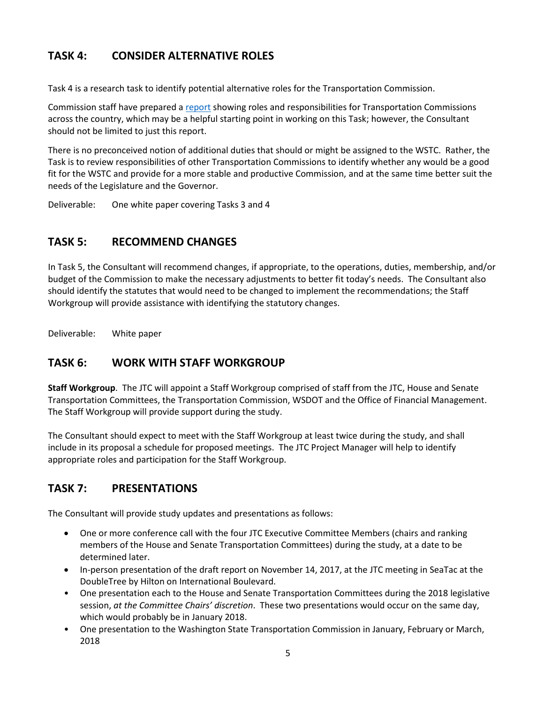# **TASK 4: CONSIDER ALTERNATIVE ROLES**

Task 4 is a research task to identify potential alternative roles for the Transportation Commission.

Commission staff have prepared a [report](http://leg.wa.gov/JTC/Documents/Studies/CommissionStudy/RolesofTransportationCommissionsUS.pdf) showing roles and responsibilities for Transportation Commissions across the country, which may be a helpful starting point in working on this Task; however, the Consultant should not be limited to just this report.

There is no preconceived notion of additional duties that should or might be assigned to the WSTC. Rather, the Task is to review responsibilities of other Transportation Commissions to identify whether any would be a good fit for the WSTC and provide for a more stable and productive Commission, and at the same time better suit the needs of the Legislature and the Governor.

Deliverable: One white paper covering Tasks 3 and 4

### **TASK 5: RECOMMEND CHANGES**

In Task 5, the Consultant will recommend changes, if appropriate, to the operations, duties, membership, and/or budget of the Commission to make the necessary adjustments to better fit today's needs. The Consultant also should identify the statutes that would need to be changed to implement the recommendations; the Staff Workgroup will provide assistance with identifying the statutory changes.

Deliverable: White paper

### **TASK 6: WORK WITH STAFF WORKGROUP**

**Staff Workgroup**. The JTC will appoint a Staff Workgroup comprised of staff from the JTC, House and Senate Transportation Committees, the Transportation Commission, WSDOT and the Office of Financial Management. The Staff Workgroup will provide support during the study.

The Consultant should expect to meet with the Staff Workgroup at least twice during the study, and shall include in its proposal a schedule for proposed meetings. The JTC Project Manager will help to identify appropriate roles and participation for the Staff Workgroup.

### **TASK 7: PRESENTATIONS**

The Consultant will provide study updates and presentations as follows:

- One or more conference call with the four JTC Executive Committee Members (chairs and ranking members of the House and Senate Transportation Committees) during the study, at a date to be determined later.
- In-person presentation of the draft report on November 14, 2017, at the JTC meeting in SeaTac at the DoubleTree by Hilton on International Boulevard.
- One presentation each to the House and Senate Transportation Committees during the 2018 legislative session, *at the Committee Chairs' discretion*. These two presentations would occur on the same day, which would probably be in January 2018.
- One presentation to the Washington State Transportation Commission in January, February or March, 2018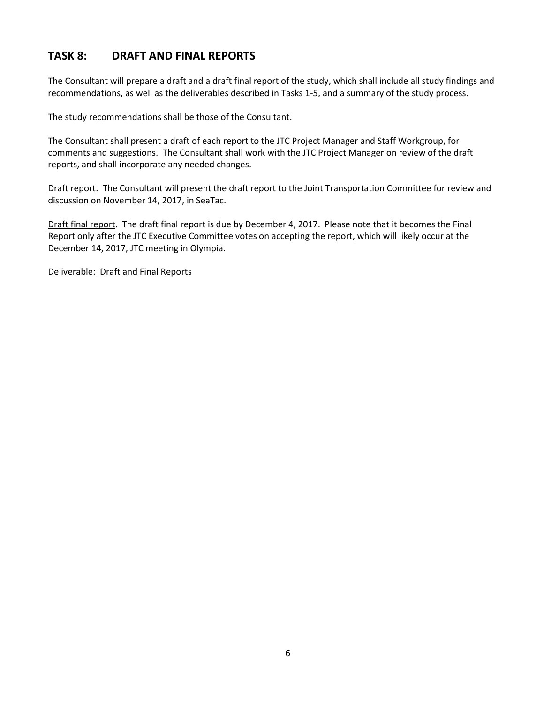### **TASK 8: DRAFT AND FINAL REPORTS**

The Consultant will prepare a draft and a draft final report of the study, which shall include all study findings and recommendations, as well as the deliverables described in Tasks 1-5, and a summary of the study process.

The study recommendations shall be those of the Consultant.

The Consultant shall present a draft of each report to the JTC Project Manager and Staff Workgroup, for comments and suggestions. The Consultant shall work with the JTC Project Manager on review of the draft reports, and shall incorporate any needed changes.

Draft report. The Consultant will present the draft report to the Joint Transportation Committee for review and discussion on November 14, 2017, in SeaTac.

Draft final report. The draft final report is due by December 4, 2017. Please note that it becomes the Final Report only after the JTC Executive Committee votes on accepting the report, which will likely occur at the December 14, 2017, JTC meeting in Olympia.

Deliverable: Draft and Final Reports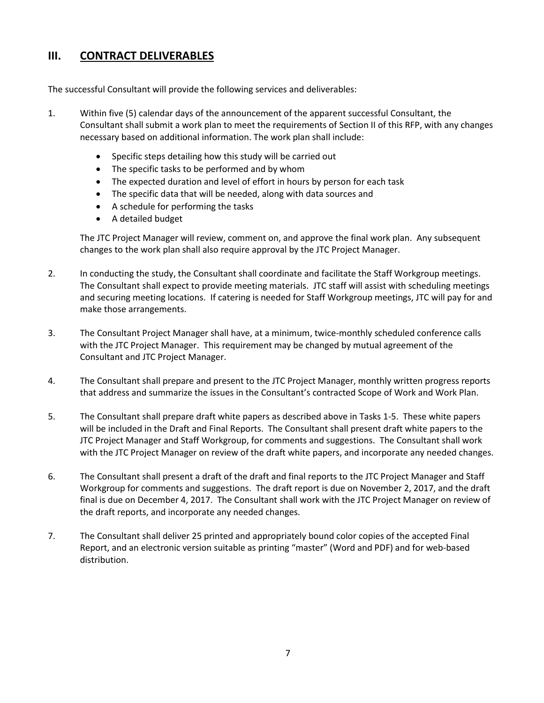### **III. CONTRACT DELIVERABLES**

The successful Consultant will provide the following services and deliverables:

- 1. Within five (5) calendar days of the announcement of the apparent successful Consultant, the Consultant shall submit a work plan to meet the requirements of Section II of this RFP, with any changes necessary based on additional information. The work plan shall include:
	- Specific steps detailing how this study will be carried out
	- The specific tasks to be performed and by whom
	- The expected duration and level of effort in hours by person for each task
	- The specific data that will be needed, along with data sources and
	- A schedule for performing the tasks
	- A detailed budget

The JTC Project Manager will review, comment on, and approve the final work plan. Any subsequent changes to the work plan shall also require approval by the JTC Project Manager.

- 2. In conducting the study, the Consultant shall coordinate and facilitate the Staff Workgroup meetings. The Consultant shall expect to provide meeting materials. JTC staff will assist with scheduling meetings and securing meeting locations. If catering is needed for Staff Workgroup meetings, JTC will pay for and make those arrangements.
- 3. The Consultant Project Manager shall have, at a minimum, twice-monthly scheduled conference calls with the JTC Project Manager. This requirement may be changed by mutual agreement of the Consultant and JTC Project Manager.
- 4. The Consultant shall prepare and present to the JTC Project Manager, monthly written progress reports that address and summarize the issues in the Consultant's contracted Scope of Work and Work Plan.
- 5. The Consultant shall prepare draft white papers as described above in Tasks 1-5. These white papers will be included in the Draft and Final Reports. The Consultant shall present draft white papers to the JTC Project Manager and Staff Workgroup, for comments and suggestions. The Consultant shall work with the JTC Project Manager on review of the draft white papers, and incorporate any needed changes.
- 6. The Consultant shall present a draft of the draft and final reports to the JTC Project Manager and Staff Workgroup for comments and suggestions. The draft report is due on November 2, 2017, and the draft final is due on December 4, 2017. The Consultant shall work with the JTC Project Manager on review of the draft reports, and incorporate any needed changes.
- 7. The Consultant shall deliver 25 printed and appropriately bound color copies of the accepted Final Report, and an electronic version suitable as printing "master" (Word and PDF) and for web-based distribution.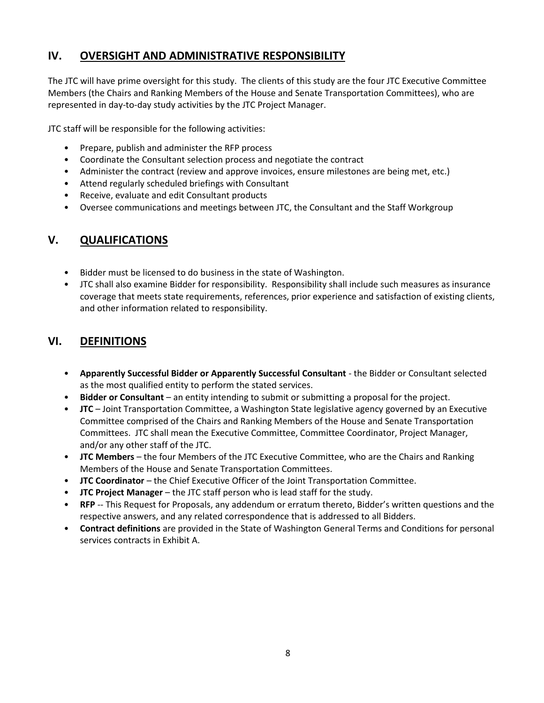### **IV. OVERSIGHT AND ADMINISTRATIVE RESPONSIBILITY**

The JTC will have prime oversight for this study. The clients of this study are the four JTC Executive Committee Members (the Chairs and Ranking Members of the House and Senate Transportation Committees), who are represented in day-to-day study activities by the JTC Project Manager.

JTC staff will be responsible for the following activities:

- Prepare, publish and administer the RFP process
- Coordinate the Consultant selection process and negotiate the contract
- Administer the contract (review and approve invoices, ensure milestones are being met, etc.)
- Attend regularly scheduled briefings with Consultant
- Receive, evaluate and edit Consultant products
- Oversee communications and meetings between JTC, the Consultant and the Staff Workgroup

### **V. QUALIFICATIONS**

- Bidder must be licensed to do business in the state of Washington.
- JTC shall also examine Bidder for responsibility. Responsibility shall include such measures as insurance coverage that meets state requirements, references, prior experience and satisfaction of existing clients, and other information related to responsibility.

### **VI. DEFINITIONS**

- **Apparently Successful Bidder or Apparently Successful Consultant** the Bidder or Consultant selected as the most qualified entity to perform the stated services.
- **Bidder or Consultant** an entity intending to submit or submitting a proposal for the project.
- **JTC** Joint Transportation Committee, a Washington State legislative agency governed by an Executive Committee comprised of the Chairs and Ranking Members of the House and Senate Transportation Committees. JTC shall mean the Executive Committee, Committee Coordinator, Project Manager, and/or any other staff of the JTC.
- **JTC Members** the four Members of the JTC Executive Committee, who are the Chairs and Ranking Members of the House and Senate Transportation Committees.
- **JTC Coordinator** the Chief Executive Officer of the Joint Transportation Committee.
- **JTC Project Manager**  the JTC staff person who is lead staff for the study.
- **RFP** -- This Request for Proposals, any addendum or erratum thereto, Bidder's written questions and the respective answers, and any related correspondence that is addressed to all Bidders.
- **Contract definitions** are provided in the State of Washington General Terms and Conditions for personal services contracts in Exhibit A.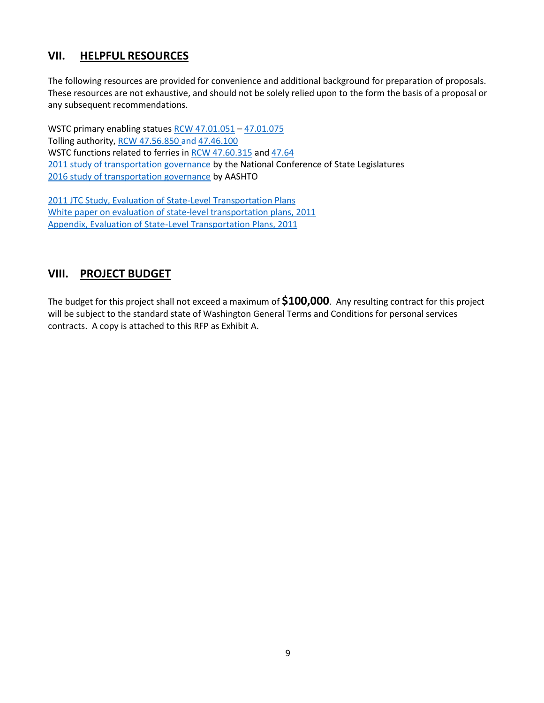### **VII. HELPFUL RESOURCES**

The following resources are provided for convenience and additional background for preparation of proposals. These resources are not exhaustive, and should not be solely relied upon to the form the basis of a proposal or any subsequent recommendations.

WSTC primary enabling statues [RCW 47.01.051](http://app.leg.wa.gov/RCW/default.aspx?cite=47.01.051) – [47.01.075](http://app.leg.wa.gov/RCW/default.aspx?cite=47.01.075) Tolling authority[, RCW 47.56.850](http://app.leg.wa.gov/RCW/default.aspx?cite=47.56.850) and [47.46.100](http://leg.wa.gov/JTC/Documents/Studies/CommissionStudy/RolesofTransportationCommissionsUS.pdf) WSTC functions related to ferries in [RCW 47.60.315](http://app.leg.wa.gov/RCW/default.aspx?cite=47.60.315) and [47.64](http://app.leg.wa.gov/RCW/default.aspx?cite=47.64) [2011 study of transportation governance](http://leg.wa.gov/JTC/Documents/Studies/CommissionStudy/2011%2050-state%20review%20of%20transportation%20governance.pdf) by the National Conference of State Legislatures [2016 study of transportation governance](http://leg.wa.gov/JTC/Documents/Studies/CommissionStudy/2016%2050%20state%20review%20of%20transportation%20governance%20and%20finance.pdf) by AASHTO

[2011 JTC Study, Evaluation of State-Level Transportation Plans](http://leg.wa.gov/JTC/Documents/Studies/Planning%20Study/Final_PlanningStudy_011211.pdf) [White paper on evaluation of state-level transportation plans, 2011](http://leg.wa.gov/JTC/Documents/Studies/Planning%20Study/FinalWhitePaper_Planning.pdf) [Appendix, Evaluation of State-Level Transportation Plans, 2011](http://leg.wa.gov/JTC/Documents/Studies/Planning%20Study/WhitePaperAppendixFinal.pdf)

### **VIII. PROJECT BUDGET**

The budget for this project shall not exceed a maximum of **\$100,000**. Any resulting contract for this project will be subject to the standard state of Washington General Terms and Conditions for personal services contracts. A copy is attached to this RFP as Exhibit A.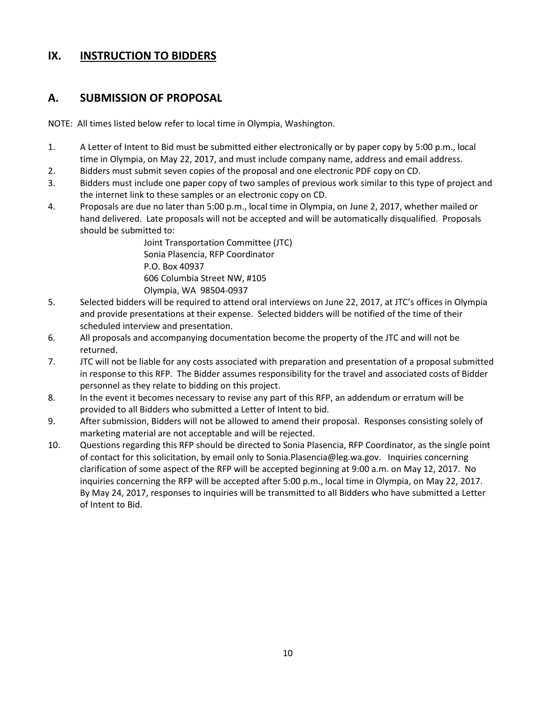#### **IX. INSTRUCTION TO BIDDERS**

#### **A. SUBMISSION OF PROPOSAL**

NOTE: All times listed below refer to local time in Olympia, Washington.

- 1. A Letter of Intent to Bid must be submitted either electronically or by paper copy by 5:00 p.m., local time in Olympia, on May 22, 2017, and must include company name, address and email address.
- 2. Bidders must submit seven copies of the proposal and one electronic PDF copy on CD.
- 3. Bidders must include one paper copy of two samples of previous work similar to this type of project and the internet link to these samples or an electronic copy on CD.
- 4. Proposals are due no later than 5:00 p.m., local time in Olympia, on June 2, 2017, whether mailed or hand delivered. Late proposals will not be accepted and will be automatically disqualified. Proposals should be submitted to:

Joint Transportation Committee (JTC) Sonia Plasencia, RFP Coordinator P.O. Box 40937 606 Columbia Street NW, #105 Olympia, WA 98504-0937

- 5. Selected bidders will be required to attend oral interviews on June 22, 2017, at JTC's offices in Olympia and provide presentations at their expense. Selected bidders will be notified of the time of their scheduled interview and presentation.
- 6. All proposals and accompanying documentation become the property of the JTC and will not be returned.
- 7. JTC will not be liable for any costs associated with preparation and presentation of a proposal submitted in response to this RFP. The Bidder assumes responsibility for the travel and associated costs of Bidder personnel as they relate to bidding on this project.
- 8. In the event it becomes necessary to revise any part of this RFP, an addendum or erratum will be provided to all Bidders who submitted a Letter of Intent to bid.
- 9. After submission, Bidders will not be allowed to amend their proposal. Responses consisting solely of marketing material are not acceptable and will be rejected.
- 10. Questions regarding this RFP should be directed to Sonia Plasencia, RFP Coordinator, as the single point of contact for this solicitation, by email only to Sonia.Plasencia@leg.wa.gov. Inquiries concerning clarification of some aspect of the RFP will be accepted beginning at 9:00 a.m. on May 12, 2017. No inquiries concerning the RFP will be accepted after 5:00 p.m., local time in Olympia, on May 22, 2017. By May 24, 2017, responses to inquiries will be transmitted to all Bidders who have submitted a Letter of Intent to Bid.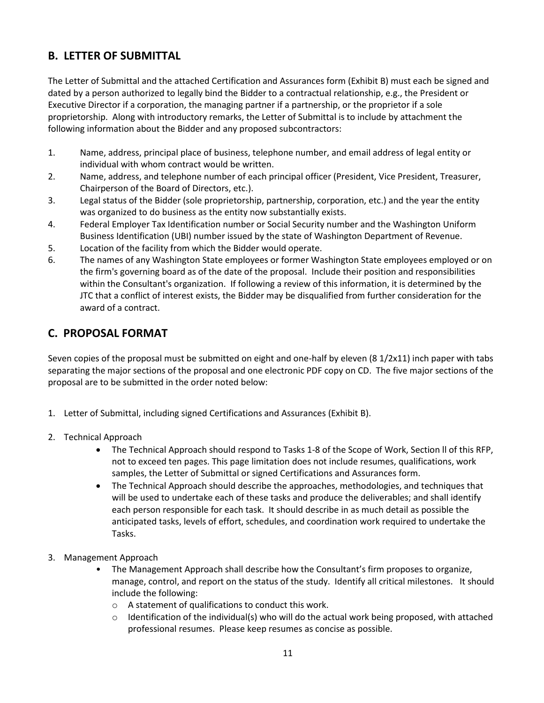# **B. LETTER OF SUBMITTAL**

The Letter of Submittal and the attached Certification and Assurances form (Exhibit B) must each be signed and dated by a person authorized to legally bind the Bidder to a contractual relationship, e.g., the President or Executive Director if a corporation, the managing partner if a partnership, or the proprietor if a sole proprietorship. Along with introductory remarks, the Letter of Submittal is to include by attachment the following information about the Bidder and any proposed subcontractors:

- 1. Name, address, principal place of business, telephone number, and email address of legal entity or individual with whom contract would be written.
- 2. Name, address, and telephone number of each principal officer (President, Vice President, Treasurer, Chairperson of the Board of Directors, etc.).
- 3. Legal status of the Bidder (sole proprietorship, partnership, corporation, etc.) and the year the entity was organized to do business as the entity now substantially exists.
- 4. Federal Employer Tax Identification number or Social Security number and the Washington Uniform Business Identification (UBI) number issued by the state of Washington Department of Revenue.
- 5. Location of the facility from which the Bidder would operate.
- 6. The names of any Washington State employees or former Washington State employees employed or on the firm's governing board as of the date of the proposal. Include their position and responsibilities within the Consultant's organization. If following a review of this information, it is determined by the JTC that a conflict of interest exists, the Bidder may be disqualified from further consideration for the award of a contract.

### **C. PROPOSAL FORMAT**

Seven copies of the proposal must be submitted on eight and one-half by eleven (8 1/2x11) inch paper with tabs separating the major sections of the proposal and one electronic PDF copy on CD. The five major sections of the proposal are to be submitted in the order noted below:

- 1. Letter of Submittal, including signed Certifications and Assurances (Exhibit B).
- 2. Technical Approach
	- The Technical Approach should respond to Tasks 1-8 of the Scope of Work, Section ll of this RFP, not to exceed ten pages. This page limitation does not include resumes, qualifications, work samples, the Letter of Submittal or signed Certifications and Assurances form.
	- The Technical Approach should describe the approaches, methodologies, and techniques that will be used to undertake each of these tasks and produce the deliverables; and shall identify each person responsible for each task. It should describe in as much detail as possible the anticipated tasks, levels of effort, schedules, and coordination work required to undertake the Tasks.
- 3. Management Approach
	- The Management Approach shall describe how the Consultant's firm proposes to organize, manage, control, and report on the status of the study. Identify all critical milestones. It should include the following:
		- o A statement of qualifications to conduct this work.
		- $\circ$  Identification of the individual(s) who will do the actual work being proposed, with attached professional resumes. Please keep resumes as concise as possible.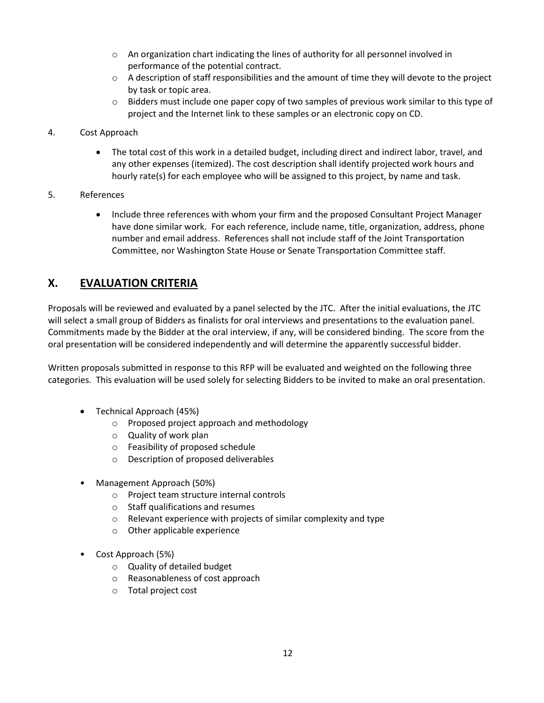- $\circ$  An organization chart indicating the lines of authority for all personnel involved in performance of the potential contract.
- $\circ$  A description of staff responsibilities and the amount of time they will devote to the project by task or topic area.
- $\circ$  Bidders must include one paper copy of two samples of previous work similar to this type of project and the Internet link to these samples or an electronic copy on CD.
- 4. Cost Approach
	- The total cost of this work in a detailed budget, including direct and indirect labor, travel, and any other expenses (itemized). The cost description shall identify projected work hours and hourly rate(s) for each employee who will be assigned to this project, by name and task.
- 5. References
	- Include three references with whom your firm and the proposed Consultant Project Manager have done similar work. For each reference, include name, title, organization, address, phone number and email address. References shall not include staff of the Joint Transportation Committee, nor Washington State House or Senate Transportation Committee staff.

### **X. EVALUATION CRITERIA**

Proposals will be reviewed and evaluated by a panel selected by the JTC. After the initial evaluations, the JTC will select a small group of Bidders as finalists for oral interviews and presentations to the evaluation panel. Commitments made by the Bidder at the oral interview, if any, will be considered binding. The score from the oral presentation will be considered independently and will determine the apparently successful bidder.

Written proposals submitted in response to this RFP will be evaluated and weighted on the following three categories. This evaluation will be used solely for selecting Bidders to be invited to make an oral presentation.

- Technical Approach (45%)
	- o Proposed project approach and methodology
	- o Quality of work plan
	- o Feasibility of proposed schedule
	- o Description of proposed deliverables
- Management Approach (50%)
	- o Project team structure internal controls
	- o Staff qualifications and resumes
	- o Relevant experience with projects of similar complexity and type
	- o Other applicable experience
- Cost Approach (5%)
	- o Quality of detailed budget
	- o Reasonableness of cost approach
	- o Total project cost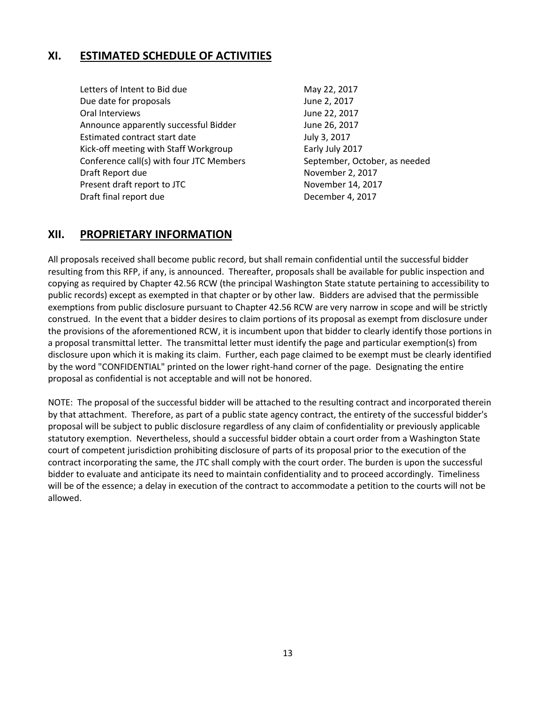### **XI. ESTIMATED SCHEDULE OF ACTIVITIES**

Letters of Intent to Bid due May 22, 2017 Due date for proposals and all the state of the date of the June 2, 2017 Oral Interviews **June 22, 2017** Announce apparently successful Bidder June 26, 2017 Estimated contract start date July 3, 2017 Kick-off meeting with Staff Workgroup Early July 2017 Conference call(s) with four JTC Members September, October, as needed Draft Report due November 2, 2017 Present draft report to JTC November 14, 2017 Draft final report due **December 4, 2017** 

#### **XII. PROPRIETARY INFORMATION**

All proposals received shall become public record, but shall remain confidential until the successful bidder resulting from this RFP, if any, is announced. Thereafter, proposals shall be available for public inspection and copying as required by Chapter 42.56 RCW (the principal Washington State statute pertaining to accessibility to public records) except as exempted in that chapter or by other law. Bidders are advised that the permissible exemptions from public disclosure pursuant to Chapter 42.56 RCW are very narrow in scope and will be strictly construed. In the event that a bidder desires to claim portions of its proposal as exempt from disclosure under the provisions of the aforementioned RCW, it is incumbent upon that bidder to clearly identify those portions in a proposal transmittal letter. The transmittal letter must identify the page and particular exemption(s) from disclosure upon which it is making its claim. Further, each page claimed to be exempt must be clearly identified by the word "CONFIDENTIAL" printed on the lower right-hand corner of the page. Designating the entire proposal as confidential is not acceptable and will not be honored.

NOTE: The proposal of the successful bidder will be attached to the resulting contract and incorporated therein by that attachment. Therefore, as part of a public state agency contract, the entirety of the successful bidder's proposal will be subject to public disclosure regardless of any claim of confidentiality or previously applicable statutory exemption. Nevertheless, should a successful bidder obtain a court order from a Washington State court of competent jurisdiction prohibiting disclosure of parts of its proposal prior to the execution of the contract incorporating the same, the JTC shall comply with the court order. The burden is upon the successful bidder to evaluate and anticipate its need to maintain confidentiality and to proceed accordingly. Timeliness will be of the essence; a delay in execution of the contract to accommodate a petition to the courts will not be allowed.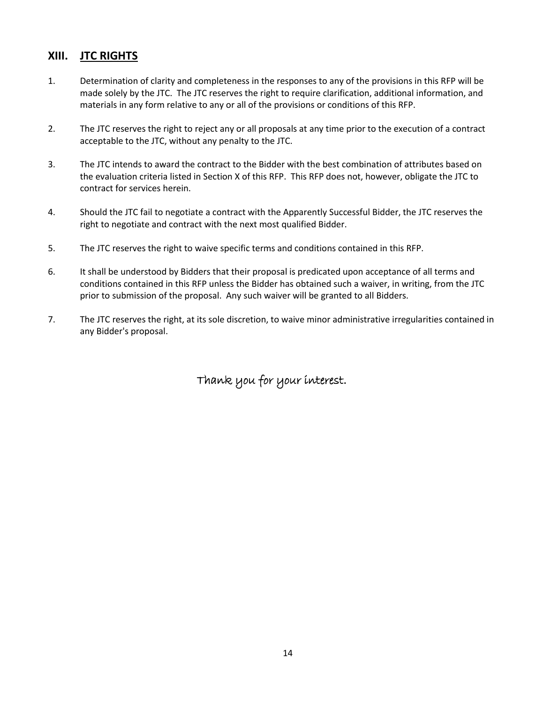### **XIII. JTC RIGHTS**

- 1. Determination of clarity and completeness in the responses to any of the provisions in this RFP will be made solely by the JTC. The JTC reserves the right to require clarification, additional information, and materials in any form relative to any or all of the provisions or conditions of this RFP.
- 2. The JTC reserves the right to reject any or all proposals at any time prior to the execution of a contract acceptable to the JTC, without any penalty to the JTC.
- 3. The JTC intends to award the contract to the Bidder with the best combination of attributes based on the evaluation criteria listed in Section X of this RFP. This RFP does not, however, obligate the JTC to contract for services herein.
- 4. Should the JTC fail to negotiate a contract with the Apparently Successful Bidder, the JTC reserves the right to negotiate and contract with the next most qualified Bidder.
- 5. The JTC reserves the right to waive specific terms and conditions contained in this RFP.
- 6. It shall be understood by Bidders that their proposal is predicated upon acceptance of all terms and conditions contained in this RFP unless the Bidder has obtained such a waiver, in writing, from the JTC prior to submission of the proposal. Any such waiver will be granted to all Bidders.
- 7. The JTC reserves the right, at its sole discretion, to waive minor administrative irregularities contained in any Bidder's proposal.

Thank you for your interest.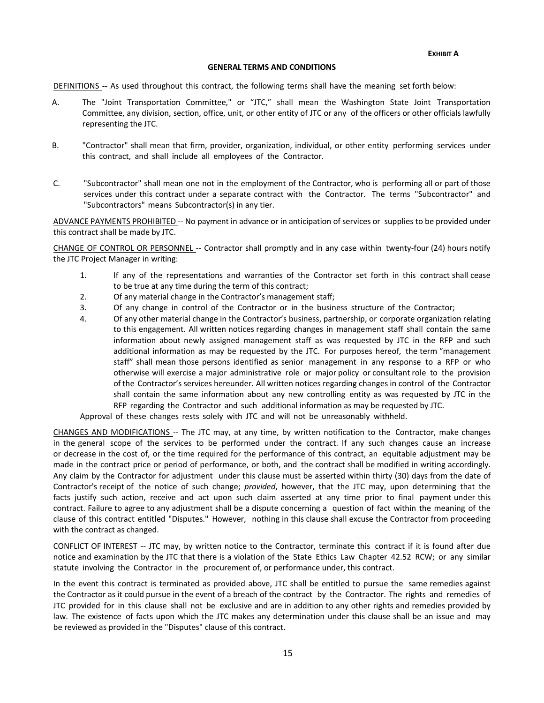#### **GENERAL TERMS AND CONDITIONS**

DEFINITIONS -- As used throughout this contract, the following terms shall have the meaning set forth below:

- A. The "Joint Transportation Committee," or "JTC," shall mean the Washington State Joint Transportation Committee, any division, section, office, unit, or other entity of JTC or any of the officers or other officials lawfully representing the JTC.
- B. "Contractor" shall mean that firm, provider, organization, individual, or other entity performing services under this contract, and shall include all employees of the Contractor.
- C. "Subcontractor" shall mean one not in the employment of the Contractor, who is performing all or part of those services under this contract under a separate contract with the Contractor. The terms "Subcontractor" and "Subcontractors" means Subcontractor(s) in any tier.

ADVANCE PAYMENTS PROHIBITED -- No payment in advance or in anticipation of services or supplies to be provided under this contract shall be made by JTC.

CHANGE OF CONTROL OR PERSONNEL -- Contractor shall promptly and in any case within twenty-four (24) hours notify the JTC Project Manager in writing:

- 1. If any of the representations and warranties of the Contractor set forth in this contract shall cease to be true at any time during the term of this contract;
- 2. Of any material change in the Contractor's management staff;
- 3. Of any change in control of the Contractor or in the business structure of the Contractor;
- 4. Of any other material change in the Contractor's business, partnership, or corporate organization relating to this engagement. All written notices regarding changes in management staff shall contain the same information about newly assigned management staff as was requested by JTC in the RFP and such additional information as may be requested by the JTC. For purposes hereof, the term "management staff" shall mean those persons identified as senior management in any response to a RFP or who otherwise will exercise a major administrative role or major policy or consultant role to the provision of the Contractor's services hereunder. All written notices regarding changes in control of the Contractor shall contain the same information about any new controlling entity as was requested by JTC in the RFP regarding the Contractor and such additional information as may be requested by JTC.

Approval of these changes rests solely with JTC and will not be unreasonably withheld.

CHANGES AND MODIFICATIONS -- The JTC may, at any time, by written notification to the Contractor, make changes in the general scope of the services to be performed under the contract. If any such changes cause an increase or decrease in the cost of, or the time required for the performance of this contract, an equitable adjustment may be made in the contract price or period of performance, or both, and the contract shall be modified in writing accordingly. Any claim by the Contractor for adjustment under this clause must be asserted within thirty (30) days from the date of Contractor's receipt of the notice of such change; *provided*, however, that the JTC may, upon determining that the facts justify such action, receive and act upon such claim asserted at any time prior to final payment under this contract. Failure to agree to any adjustment shall be a dispute concerning a question of fact within the meaning of the clause of this contract entitled "Disputes." However, nothing in this clause shall excuse the Contractor from proceeding with the contract as changed.

CONFLICT OF INTEREST -- JTC may, by written notice to the Contractor, terminate this contract if it is found after due notice and examination by the JTC that there is a violation of the State Ethics Law Chapter 42.52 RCW; or any similar statute involving the Contractor in the procurement of, or performance under, this contract.

In the event this contract is terminated as provided above, JTC shall be entitled to pursue the same remedies against the Contractor as it could pursue in the event of a breach of the contract by the Contractor. The rights and remedies of JTC provided for in this clause shall not be exclusive and are in addition to any other rights and remedies provided by law. The existence of facts upon which the JTC makes any determination under this clause shall be an issue and may be reviewed as provided in the "Disputes" clause of this contract.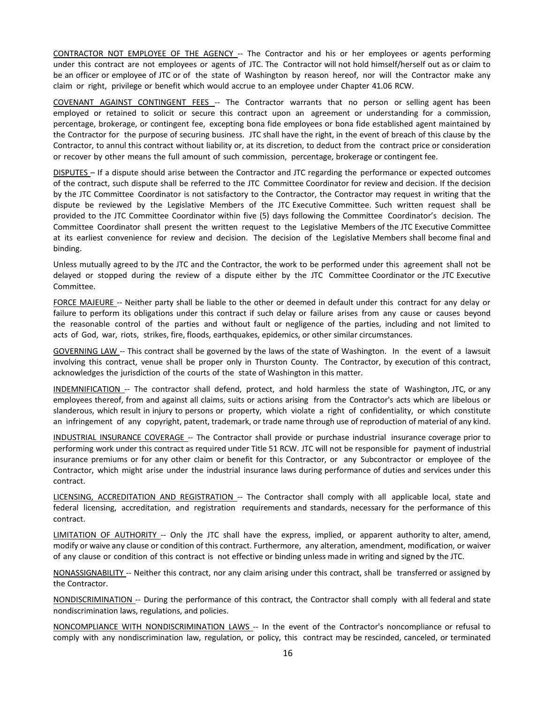CONTRACTOR NOT EMPLOYEE OF THE AGENCY -- The Contractor and his or her employees or agents performing under this contract are not employees or agents of JTC. The Contractor will not hold himself/herself out as or claim to be an officer or employee of JTC or of the state of Washington by reason hereof, nor will the Contractor make any claim or right, privilege or benefit which would accrue to an employee under Chapter 41.06 RCW.

COVENANT AGAINST CONTINGENT FEES -- The Contractor warrants that no person or selling agent has been employed or retained to solicit or secure this contract upon an agreement or understanding for a commission, percentage, brokerage, or contingent fee, excepting bona fide employees or bona fide established agent maintained by the Contractor for the purpose of securing business. JTC shall have the right, in the event of breach of this clause by the Contractor, to annul this contract without liability or, at its discretion, to deduct from the contract price or consideration or recover by other means the full amount of such commission, percentage, brokerage or contingent fee.

DISPUTES – If a dispute should arise between the Contractor and JTC regarding the performance or expected outcomes of the contract, such dispute shall be referred to the JTC Committee Coordinator for review and decision. If the decision by the JTC Committee Coordinator is not satisfactory to the Contractor, the Contractor may request in writing that the dispute be reviewed by the Legislative Members of the JTC Executive Committee. Such written request shall be provided to the JTC Committee Coordinator within five (5) days following the Committee Coordinator's decision. The Committee Coordinator shall present the written request to the Legislative Members of the JTC Executive Committee at its earliest convenience for review and decision. The decision of the Legislative Members shall become final and binding.

Unless mutually agreed to by the JTC and the Contractor, the work to be performed under this agreement shall not be delayed or stopped during the review of a dispute either by the JTC Committee Coordinator or the JTC Executive Committee.

FORCE MAJEURE -- Neither party shall be liable to the other or deemed in default under this contract for any delay or failure to perform its obligations under this contract if such delay or failure arises from any cause or causes beyond the reasonable control of the parties and without fault or negligence of the parties, including and not limited to acts of God, war, riots, strikes, fire, floods, earthquakes, epidemics, or other similar circumstances.

GOVERNING LAW -- This contract shall be governed by the laws of the state of Washington. In the event of a lawsuit involving this contract, venue shall be proper only in Thurston County. The Contractor, by execution of this contract, acknowledges the jurisdiction of the courts of the state of Washington in this matter.

INDEMNIFICATION -- The contractor shall defend, protect, and hold harmless the state of Washington, JTC, or any employees thereof, from and against all claims, suits or actions arising from the Contractor's acts which are libelous or slanderous, which result in injury to persons or property, which violate a right of confidentiality, or which constitute an infringement of any copyright, patent, trademark, or trade name through use of reproduction of material of any kind.

INDUSTRIAL INSURANCE COVERAGE -- The Contractor shall provide or purchase industrial insurance coverage prior to performing work under this contract as required under Title 51 RCW. JTC will not be responsible for payment of industrial insurance premiums or for any other claim or benefit for this Contractor, or any Subcontractor or employee of the Contractor, which might arise under the industrial insurance laws during performance of duties and services under this contract.

LICENSING, ACCREDITATION AND REGISTRATION -- The Contractor shall comply with all applicable local, state and federal licensing, accreditation, and registration requirements and standards, necessary for the performance of this contract.

LIMITATION OF AUTHORITY -- Only the JTC shall have the express, implied, or apparent authority to alter, amend, modify or waive any clause or condition of this contract. Furthermore, any alteration, amendment, modification, or waiver of any clause or condition of this contract is not effective or binding unless made in writing and signed by the JTC.

NONASSIGNABILITY -- Neither this contract, nor any claim arising under this contract, shall be transferred or assigned by the Contractor.

NONDISCRIMINATION -- During the performance of this contract, the Contractor shall comply with all federal and state nondiscrimination laws, regulations, and policies.

NONCOMPLIANCE WITH NONDISCRIMINATION LAWS -- In the event of the Contractor's noncompliance or refusal to comply with any nondiscrimination law, regulation, or policy, this contract may be rescinded, canceled, or terminated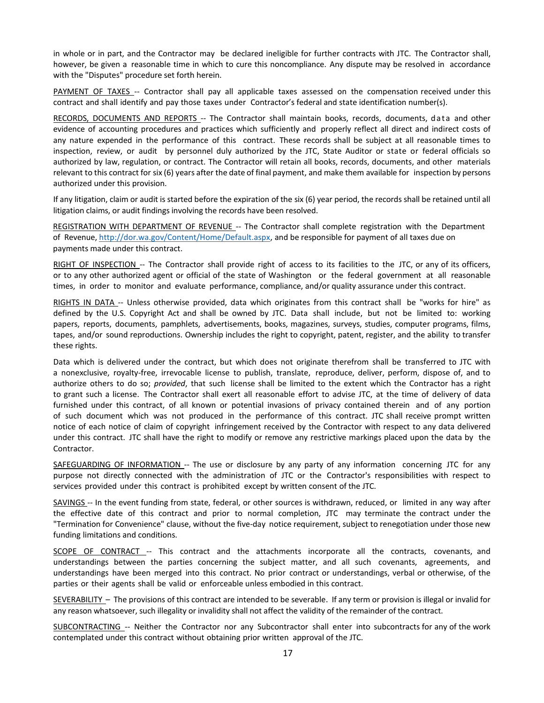in whole or in part, and the Contractor may be declared ineligible for further contracts with JTC. The Contractor shall, however, be given a reasonable time in which to cure this noncompliance. Any dispute may be resolved in accordance with the "Disputes" procedure set forth herein.

PAYMENT OF TAXES -- Contractor shall pay all applicable taxes assessed on the compensation received under this contract and shall identify and pay those taxes under Contractor's federal and state identification number(s).

RECORDS, DOCUMENTS AND REPORTS -- The Contractor shall maintain books, records, documents, data and other evidence of accounting procedures and practices which sufficiently and properly reflect all direct and indirect costs of any nature expended in the performance of this contract. These records shall be subject at all reasonable times to inspection, review, or audit by personnel duly authorized by the JTC, State Auditor or state or federal officials so authorized by law, regulation, or contract. The Contractor will retain all books, records, documents, and other materials relevant to this contract for six (6) years after the date of final payment, and make them available for inspection by persons authorized under this provision.

If any litigation, claim or audit is started before the expiration of the six (6) year period, the records shall be retained until all litigation claims, or audit findings involving the records have been resolved.

REGISTRATION WITH DEPARTMENT OF REVENUE -- The Contractor shall complete registration with the Department of Revenue, [http://dor.wa.gov/Content/Home/Default.aspx,](http://dor.wa.gov/Content/Home/Default.aspx) and be responsible for payment of all taxes due on payments made under this contract.

RIGHT OF INSPECTION -- The Contractor shall provide right of access to its facilities to the JTC, or any of its officers, or to any other authorized agent or official of the state of Washington or the federal government at all reasonable times, in order to monitor and evaluate performance, compliance, and/or quality assurance under this contract.

RIGHTS IN DATA -- Unless otherwise provided, data which originates from this contract shall be "works for hire" as defined by the U.S. Copyright Act and shall be owned by JTC. Data shall include, but not be limited to: working papers, reports, documents, pamphlets, advertisements, books, magazines, surveys, studies, computer programs, films, tapes, and/or sound reproductions. Ownership includes the right to copyright, patent, register, and the ability to transfer these rights.

Data which is delivered under the contract, but which does not originate therefrom shall be transferred to JTC with a nonexclusive, royalty-free, irrevocable license to publish, translate, reproduce, deliver, perform, dispose of, and to authorize others to do so; *provided*, that such license shall be limited to the extent which the Contractor has a right to grant such a license. The Contractor shall exert all reasonable effort to advise JTC, at the time of delivery of data furnished under this contract, of all known or potential invasions of privacy contained therein and of any portion of such document which was not produced in the performance of this contract. JTC shall receive prompt written notice of each notice of claim of copyright infringement received by the Contractor with respect to any data delivered under this contract. JTC shall have the right to modify or remove any restrictive markings placed upon the data by the Contractor.

SAFEGUARDING OF INFORMATION -- The use or disclosure by any party of any information concerning JTC for any purpose not directly connected with the administration of JTC or the Contractor's responsibilities with respect to services provided under this contract is prohibited except by written consent of the JTC.

SAVINGS -- In the event funding from state, federal, or other sources is withdrawn, reduced, or limited in any way after the effective date of this contract and prior to normal completion, JTC may terminate the contract under the "Termination for Convenience" clause, without the five-day notice requirement, subject to renegotiation under those new funding limitations and conditions.

SCOPE OF CONTRACT -- This contract and the attachments incorporate all the contracts, covenants, and understandings between the parties concerning the subject matter, and all such covenants, agreements, and understandings have been merged into this contract. No prior contract or understandings, verbal or otherwise, of the parties or their agents shall be valid or enforceable unless embodied in this contract.

SEVERABILITY – The provisions of this contract are intended to be severable. If any term or provision is illegal or invalid for any reason whatsoever, such illegality or invalidity shall not affect the validity of the remainder of the contract.

SUBCONTRACTING -- Neither the Contractor nor any Subcontractor shall enter into subcontracts for any of the work contemplated under this contract without obtaining prior written approval of the JTC.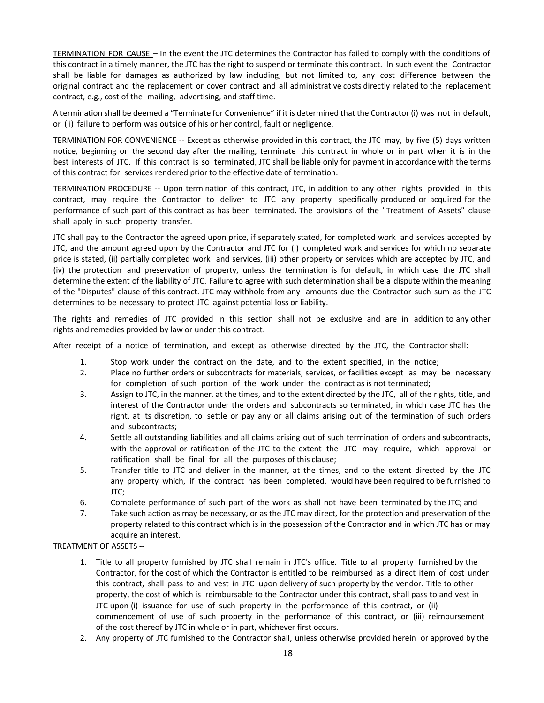TERMINATION FOR CAUSE – In the event the JTC determines the Contractor has failed to comply with the conditions of this contract in a timely manner, the JTC has the right to suspend or terminate this contract. In such event the Contractor shall be liable for damages as authorized by law including, but not limited to, any cost difference between the original contract and the replacement or cover contract and all administrative costs directly related to the replacement contract, e.g., cost of the mailing, advertising, and staff time.

A termination shall be deemed a "Terminate for Convenience" if it is determined that the Contractor (i) was not in default, or (ii) failure to perform was outside of his or her control, fault or negligence.

TERMINATION FOR CONVENIENCE -- Except as otherwise provided in this contract, the JTC may, by five (5) days written notice, beginning on the second day after the mailing, terminate this contract in whole or in part when it is in the best interests of JTC. If this contract is so terminated, JTC shall be liable only for payment in accordance with the terms of this contract for services rendered prior to the effective date of termination.

TERMINATION PROCEDURE -- Upon termination of this contract, JTC, in addition to any other rights provided in this contract, may require the Contractor to deliver to JTC any property specifically produced or acquired for the performance of such part of this contract as has been terminated. The provisions of the "Treatment of Assets" clause shall apply in such property transfer.

JTC shall pay to the Contractor the agreed upon price, if separately stated, for completed work and services accepted by JTC, and the amount agreed upon by the Contractor and JTC for (i) completed work and services for which no separate price is stated, (ii) partially completed work and services, (iii) other property or services which are accepted by JTC, and (iv) the protection and preservation of property, unless the termination is for default, in which case the JTC shall determine the extent of the liability of JTC. Failure to agree with such determination shall be a dispute within the meaning of the "Disputes" clause of this contract. JTC may withhold from any amounts due the Contractor such sum as the JTC determines to be necessary to protect JTC against potential loss or liability.

The rights and remedies of JTC provided in this section shall not be exclusive and are in addition to any other rights and remedies provided by law or under this contract.

After receipt of a notice of termination, and except as otherwise directed by the JTC, the Contractor shall:

- 1. Stop work under the contract on the date, and to the extent specified, in the notice;
- 2. Place no further orders or subcontracts for materials, services, or facilities except as may be necessary for completion of such portion of the work under the contract as is not terminated;
- 3. Assign to JTC, in the manner, at the times, and to the extent directed by the JTC, all of the rights, title, and interest of the Contractor under the orders and subcontracts so terminated, in which case JTC has the right, at its discretion, to settle or pay any or all claims arising out of the termination of such orders and subcontracts;
- 4. Settle all outstanding liabilities and all claims arising out of such termination of orders and subcontracts, with the approval or ratification of the JTC to the extent the JTC may require, which approval or ratification shall be final for all the purposes of this clause;
- 5. Transfer title to JTC and deliver in the manner, at the times, and to the extent directed by the JTC any property which, if the contract has been completed, would have been required to be furnished to JTC;
- 6. Complete performance of such part of the work as shall not have been terminated by the JTC; and
- 7. Take such action as may be necessary, or as the JTC may direct, for the protection and preservation of the property related to this contract which is in the possession of the Contractor and in which JTC has or may acquire an interest.

#### TREATMENT OF ASSETS --

- 1. Title to all property furnished by JTC shall remain in JTC's office. Title to all property furnished by the Contractor, for the cost of which the Contractor is entitled to be reimbursed as a direct item of cost under this contract, shall pass to and vest in JTC upon delivery of such property by the vendor. Title to other property, the cost of which is reimbursable to the Contractor under this contract, shall pass to and vest in JTC upon (i) issuance for use of such property in the performance of this contract, or (ii) commencement of use of such property in the performance of this contract, or (iii) reimbursement of the cost thereof by JTC in whole or in part, whichever first occurs.
- 2. Any property of JTC furnished to the Contractor shall, unless otherwise provided herein or approved by the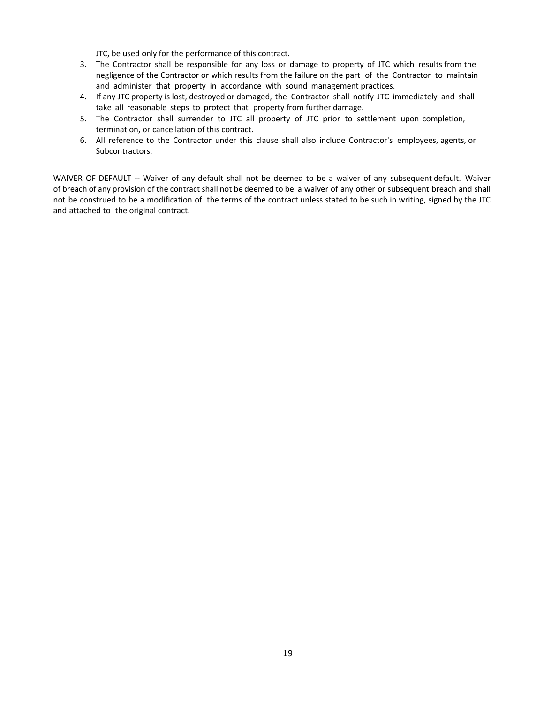JTC, be used only for the performance of this contract.

- 3. The Contractor shall be responsible for any loss or damage to property of JTC which results from the negligence of the Contractor or which results from the failure on the part of the Contractor to maintain and administer that property in accordance with sound management practices.
- 4. If any JTC property is lost, destroyed or damaged, the Contractor shall notify JTC immediately and shall take all reasonable steps to protect that property from further damage.
- 5. The Contractor shall surrender to JTC all property of JTC prior to settlement upon completion, termination, or cancellation of this contract.
- 6. All reference to the Contractor under this clause shall also include Contractor's employees, agents, or Subcontractors.

WAIVER OF DEFAULT -- Waiver of any default shall not be deemed to be a waiver of any subsequent default. Waiver of breach of any provision of the contract shall not be deemed to be a waiver of any other or subsequent breach and shall not be construed to be a modification of the terms of the contract unless stated to be such in writing, signed by the JTC and attached to the original contract.